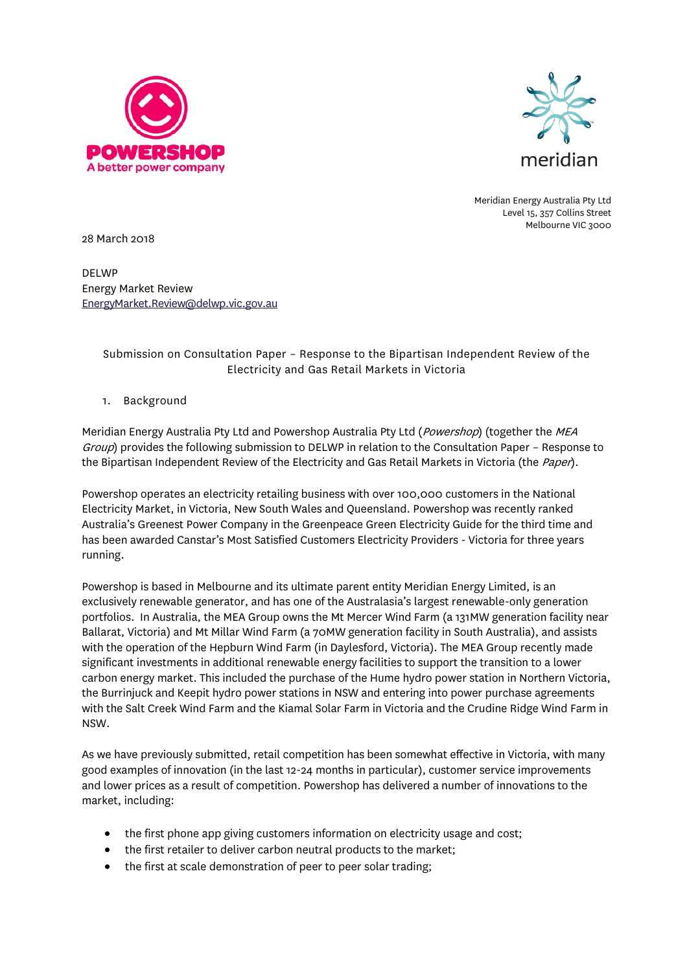



Meridian Energy Australia Pty Ltd Level 15, 357 Collins Street Melbourne VIC 3000

28 March 2018

DELWP Energy Market Review [EnergyMarket.Review@delwp.vic.gov.au](mailto:EnergyMarket.Review@delwp.vic.gov.au)

# Submission on Consultation Paper – Response to the Bipartisan Independent Review of the Electricity and Gas Retail Markets in Victoria

## 1. Background

Meridian Energy Australia Pty Ltd and Powershop Australia Pty Ltd (Powershop) (together the MEA Group) provides the following submission to DELWP in relation to the Consultation Paper - Response to the Bipartisan Independent Review of the Electricity and Gas Retail Markets in Victoria (the Paper).

Powershop operates an electricity retailing business with over 100,000 customers in the National Electricity Market, in Victoria, New South Wales and Queensland. Powershop was recently ranked Australia's Greenest Power Company in the Greenpeace Green Electricity Guide for the third time and has been awarded Canstar's Most Satisfied Customers Electricity Providers - Victoria for three years running.

Powershop is based in Melbourne and its ultimate parent entity Meridian Energy Limited, is an exclusively renewable generator, and has one of the Australasia's largest renewable-only generation portfolios. In Australia, the MEA Group owns the Mt Mercer Wind Farm (a 131MW generation facility near Ballarat, Victoria) and Mt Millar Wind Farm (a 70MW generation facility in South Australia), and assists with the operation of the Hepburn Wind Farm (in Daylesford, Victoria). The MEA Group recently made significant investments in additional renewable energy facilities to support the transition to a lower carbon energy market. This included the purchase of the Hume hydro power station in Northern Victoria, the Burrinjuck and Keepit hydro power stations in NSW and entering into power purchase agreements with the Salt Creek Wind Farm and the Kiamal Solar Farm in Victoria and the Crudine Ridge Wind Farm in NSW.

As we have previously submitted, retail competition has been somewhat effective in Victoria, with many good examples of innovation (in the last 12-24 months in particular), customer service improvements and lower prices as a result of competition. Powershop has delivered a number of innovations to the market, including:

- the first phone app giving customers information on electricity usage and cost;
- the first retailer to deliver carbon neutral products to the market;
- the first at scale demonstration of peer to peer solar trading;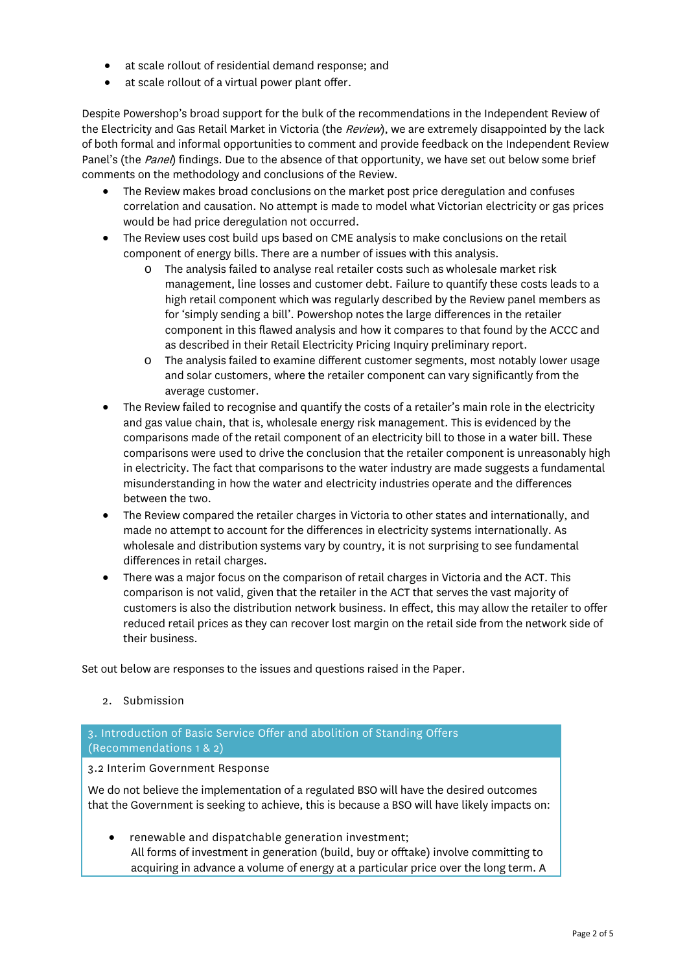- at scale rollout of residential demand response; and
- at scale rollout of a virtual power plant offer.

Despite Powershop's broad support for the bulk of the recommendations in the Independent Review of the Electricity and Gas Retail Market in Victoria (the *Review*), we are extremely disappointed by the lack of both formal and informal opportunities to comment and provide feedback on the Independent Review Panel's (the Panel) findings. Due to the absence of that opportunity, we have set out below some brief comments on the methodology and conclusions of the Review.

- The Review makes broad conclusions on the market post price deregulation and confuses correlation and causation. No attempt is made to model what Victorian electricity or gas prices would be had price deregulation not occurred.
- The Review uses cost build ups based on CME analysis to make conclusions on the retail component of energy bills. There are a number of issues with this analysis.
	- o The analysis failed to analyse real retailer costs such as wholesale market risk management, line losses and customer debt. Failure to quantify these costs leads to a high retail component which was regularly described by the Review panel members as for 'simply sending a bill'. Powershop notes the large differences in the retailer component in this flawed analysis and how it compares to that found by the ACCC and as described in their Retail Electricity Pricing Inquiry preliminary report.
	- o The analysis failed to examine different customer segments, most notably lower usage and solar customers, where the retailer component can vary significantly from the average customer.
- The Review failed to recognise and quantify the costs of a retailer's main role in the electricity and gas value chain, that is, wholesale energy risk management. This is evidenced by the comparisons made of the retail component of an electricity bill to those in a water bill. These comparisons were used to drive the conclusion that the retailer component is unreasonably high in electricity. The fact that comparisons to the water industry are made suggests a fundamental misunderstanding in how the water and electricity industries operate and the differences between the two.
- The Review compared the retailer charges in Victoria to other states and internationally, and made no attempt to account for the differences in electricity systems internationally. As wholesale and distribution systems vary by country, it is not surprising to see fundamental differences in retail charges.
- There was a major focus on the comparison of retail charges in Victoria and the ACT. This comparison is not valid, given that the retailer in the ACT that serves the vast majority of customers is also the distribution network business. In effect, this may allow the retailer to offer reduced retail prices as they can recover lost margin on the retail side from the network side of their business.

Set out below are responses to the issues and questions raised in the Paper.

2. Submission

3. Introduction of Basic Service Offer and abolition of Standing Offers (Recommendations 1 & 2)

3.2 Interim Government Response

We do not believe the implementation of a regulated BSO will have the desired outcomes that the Government is seeking to achieve, this is because a BSO will have likely impacts on:

renewable and dispatchable generation investment; All forms of investment in generation (build, buy or offtake) involve committing to acquiring in advance a volume of energy at a particular price over the long term. A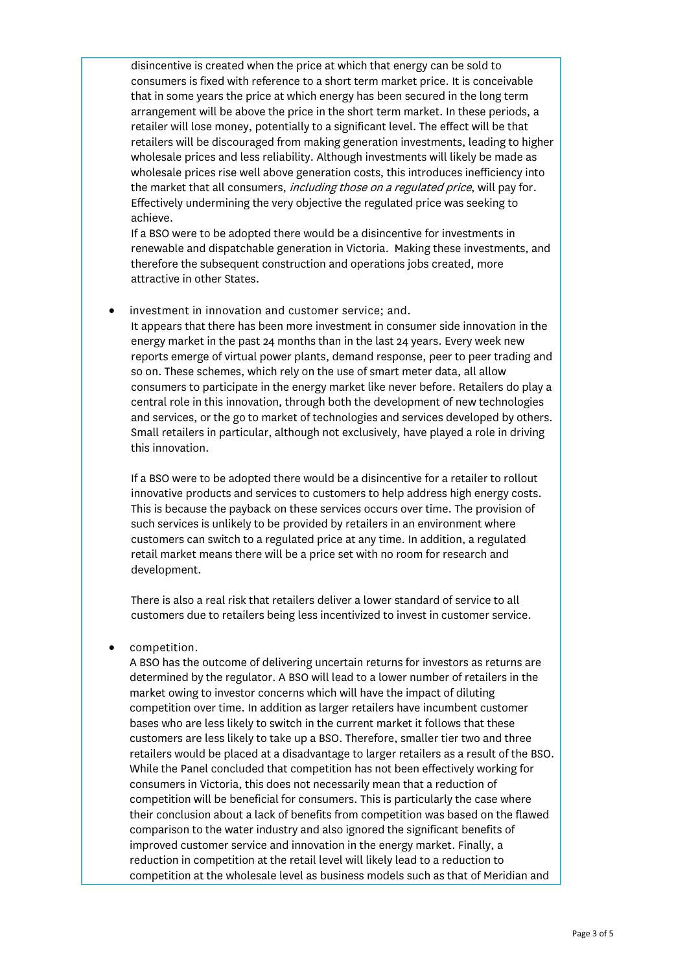disincentive is created when the price at which that energy can be sold to consumers is fixed with reference to a short term market price. It is conceivable that in some years the price at which energy has been secured in the long term arrangement will be above the price in the short term market. In these periods, a retailer will lose money, potentially to a significant level. The effect will be that retailers will be discouraged from making generation investments, leading to higher wholesale prices and less reliability. Although investments will likely be made as wholesale prices rise well above generation costs, this introduces inefficiency into the market that all consumers, *including those on a regulated price*, will pay for, Effectively undermining the very objective the regulated price was seeking to achieve.

If a BSO were to be adopted there would be a disincentive for investments in renewable and dispatchable generation in Victoria. Making these investments, and therefore the subsequent construction and operations jobs created, more attractive in other States.

investment in innovation and customer service; and.

It appears that there has been more investment in consumer side innovation in the energy market in the past 24 months than in the last 24 years. Every week new reports emerge of virtual power plants, demand response, peer to peer trading and so on. These schemes, which rely on the use of smart meter data, all allow consumers to participate in the energy market like never before. Retailers do play a central role in this innovation, through both the development of new technologies and services, or the go to market of technologies and services developed by others. Small retailers in particular, although not exclusively, have played a role in driving this innovation.

If a BSO were to be adopted there would be a disincentive for a retailer to rollout innovative products and services to customers to help address high energy costs. This is because the payback on these services occurs over time. The provision of such services is unlikely to be provided by retailers in an environment where customers can switch to a regulated price at any time. In addition, a regulated retail market means there will be a price set with no room for research and development.

There is also a real risk that retailers deliver a lower standard of service to all customers due to retailers being less incentivized to invest in customer service.

• competition.

A BSO has the outcome of delivering uncertain returns for investors as returns are determined by the regulator. A BSO will lead to a lower number of retailers in the market owing to investor concerns which will have the impact of diluting competition over time. In addition as larger retailers have incumbent customer bases who are less likely to switch in the current market it follows that these customers are less likely to take up a BSO. Therefore, smaller tier two and three retailers would be placed at a disadvantage to larger retailers as a result of the BSO. While the Panel concluded that competition has not been effectively working for consumers in Victoria, this does not necessarily mean that a reduction of competition will be beneficial for consumers. This is particularly the case where their conclusion about a lack of benefits from competition was based on the flawed comparison to the water industry and also ignored the significant benefits of improved customer service and innovation in the energy market. Finally, a reduction in competition at the retail level will likely lead to a reduction to competition at the wholesale level as business models such as that of Meridian and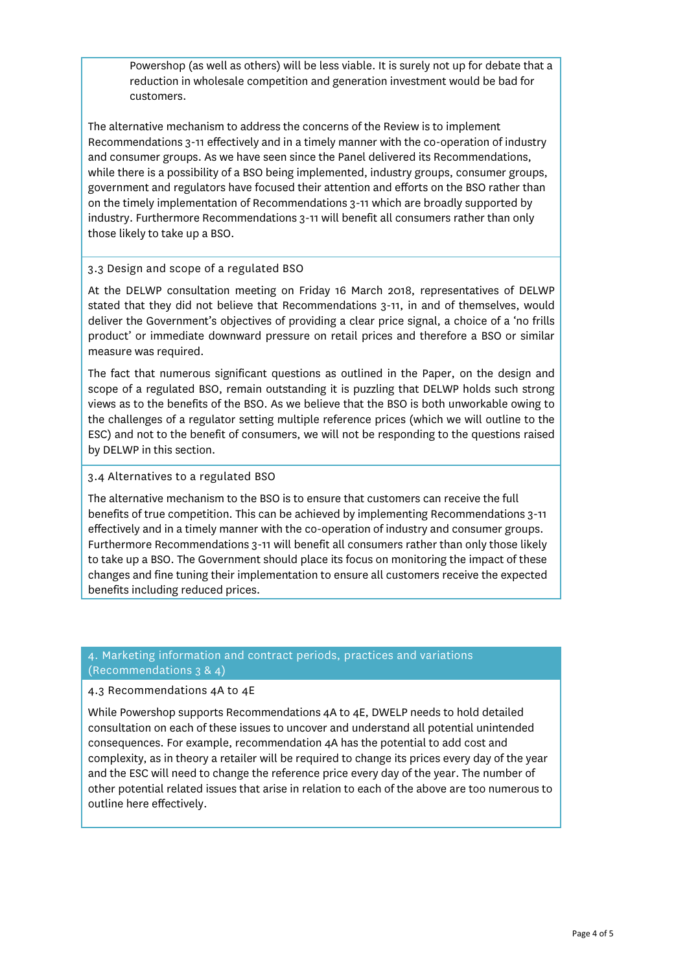Powershop (as well as others) will be less viable. It is surely not up for debate that a reduction in wholesale competition and generation investment would be bad for customers.

The alternative mechanism to address the concerns of the Review is to implement Recommendations 3-11 effectively and in a timely manner with the co-operation of industry and consumer groups. As we have seen since the Panel delivered its Recommendations, while there is a possibility of a BSO being implemented, industry groups, consumer groups, government and regulators have focused their attention and efforts on the BSO rather than on the timely implementation of Recommendations 3-11 which are broadly supported by industry. Furthermore Recommendations 3-11 will benefit all consumers rather than only those likely to take up a BSO.

### 3.3 Design and scope of a regulated BSO

At the DELWP consultation meeting on Friday 16 March 2018, representatives of DELWP stated that they did not believe that Recommendations 3-11, in and of themselves, would deliver the Government's objectives of providing a clear price signal, a choice of a 'no frills product' or immediate downward pressure on retail prices and therefore a BSO or similar measure was required.

The fact that numerous significant questions as outlined in the Paper, on the design and scope of a regulated BSO, remain outstanding it is puzzling that DELWP holds such strong views as to the benefits of the BSO. As we believe that the BSO is both unworkable owing to the challenges of a regulator setting multiple reference prices (which we will outline to the ESC) and not to the benefit of consumers, we will not be responding to the questions raised by DELWP in this section.

### 3.4 Alternatives to a regulated BSO

The alternative mechanism to the BSO is to ensure that customers can receive the full benefits of true competition. This can be achieved by implementing Recommendations 3-11 effectively and in a timely manner with the co-operation of industry and consumer groups. Furthermore Recommendations 3-11 will benefit all consumers rather than only those likely to take up a BSO. The Government should place its focus on monitoring the impact of these changes and fine tuning their implementation to ensure all customers receive the expected benefits including reduced prices.

### 4. Marketing information and contract periods, practices and variations (Recommendations 3 & 4)

### 4.3 Recommendations 4A to 4E

While Powershop supports Recommendations 4A to 4E, DWELP needs to hold detailed consultation on each of these issues to uncover and understand all potential unintended consequences. For example, recommendation 4A has the potential to add cost and complexity, as in theory a retailer will be required to change its prices every day of the year and the ESC will need to change the reference price every day of the year. The number of other potential related issues that arise in relation to each of the above are too numerous to outline here effectively.